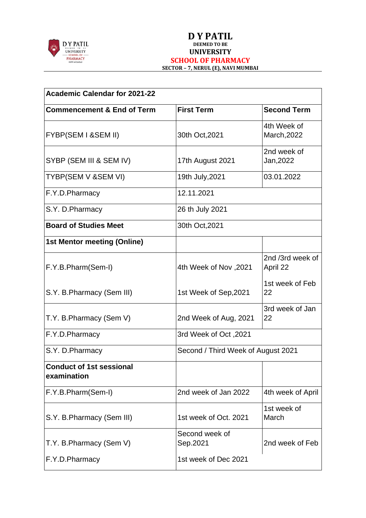

| <b>Academic Calendar for 2021-22</b>           |                            |                                    |  |  |
|------------------------------------------------|----------------------------|------------------------------------|--|--|
| <b>Commencement &amp; End of Term</b>          | <b>First Term</b>          | <b>Second Term</b>                 |  |  |
| FYBP(SEM I &SEM II)                            | 30th Oct, 2021             | 4th Week of<br>March, 2022         |  |  |
| SYBP (SEM III & SEM IV)                        | 17th August 2021           | 2nd week of<br>Jan, 2022           |  |  |
| TYBP(SEM V &SEM VI)                            | 19th July, 2021            | 03.01.2022                         |  |  |
| F.Y.D.Pharmacy                                 | 12.11.2021                 |                                    |  |  |
| S.Y. D.Pharmacy                                | 26 th July 2021            |                                    |  |  |
| <b>Board of Studies Meet</b>                   | 30th Oct, 2021             |                                    |  |  |
| <b>1st Mentor meeting (Online)</b>             |                            |                                    |  |  |
| F.Y.B.Pharm(Sem-I)                             | 4th Week of Nov, 2021      | 2nd /3rd week of<br>April 22       |  |  |
| S.Y. B. Pharmacy (Sem III)                     | 1st Week of Sep, 2021      | 1st week of Feb<br>22              |  |  |
| T.Y. B.Pharmacy (Sem V)                        | 2nd Week of Aug, 2021      | 3rd week of Jan<br>22              |  |  |
| F.Y.D.Pharmacy                                 | 3rd Week of Oct, 2021      |                                    |  |  |
| S.Y. D. Pharmacy                               |                            | Second / Third Week of August 2021 |  |  |
| <b>Conduct of 1st sessional</b><br>examination |                            |                                    |  |  |
| F.Y.B.Pharm(Sem-I)                             | 2nd week of Jan 2022       | 4th week of April                  |  |  |
| S.Y. B. Pharmacy (Sem III)                     | 1st week of Oct. 2021      | 1st week of<br>March               |  |  |
| T.Y. B.Pharmacy (Sem V)                        | Second week of<br>Sep.2021 | 2nd week of Feb                    |  |  |
| F.Y.D.Pharmacy                                 | 1st week of Dec 2021       |                                    |  |  |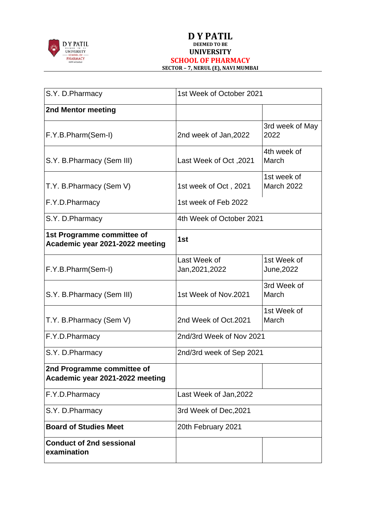

| S.Y. D.Pharmacy                                               | 1st Week of October 2021        |                                  |
|---------------------------------------------------------------|---------------------------------|----------------------------------|
| 2nd Mentor meeting                                            |                                 |                                  |
| F.Y.B.Pharm(Sem-I)                                            | 2nd week of Jan, 2022           | 3rd week of May<br>2022          |
| S.Y. B. Pharmacy (Sem III)                                    | 2021, Last Week of Oct          | 4th week of<br>March             |
| T.Y. B. Pharmacy (Sem V)                                      | 1st week of Oct, 2021           | 1st week of<br><b>March 2022</b> |
| F.Y.D.Pharmacy                                                | 1st week of Feb 2022            |                                  |
| S.Y. D.Pharmacy                                               | 4th Week of October 2021        |                                  |
| 1st Programme committee of<br>Academic year 2021-2022 meeting | 1st                             |                                  |
| F.Y.B.Pharm(Sem-I)                                            | Last Week of<br>Jan, 2021, 2022 | 1st Week of<br>June, 2022        |
| S.Y. B. Pharmacy (Sem III)                                    | 1st Week of Nov.2021            | 3rd Week of<br>March             |
| T.Y. B. Pharmacy (Sem V)                                      | 2nd Week of Oct.2021            | 1st Week of<br>March             |
| F.Y.D.Pharmacy                                                | 2nd/3rd Week of Nov 2021        |                                  |
| S.Y. D.Pharmacy                                               | 2nd/3rd week of Sep 2021        |                                  |
| 2nd Programme committee of<br>Academic year 2021-2022 meeting |                                 |                                  |
| F.Y.D.Pharmacy                                                | Last Week of Jan, 2022          |                                  |
| S.Y. D.Pharmacy                                               | 3rd Week of Dec, 2021           |                                  |
| <b>Board of Studies Meet</b>                                  | 20th February 2021              |                                  |
| <b>Conduct of 2nd sessional</b><br>examination                |                                 |                                  |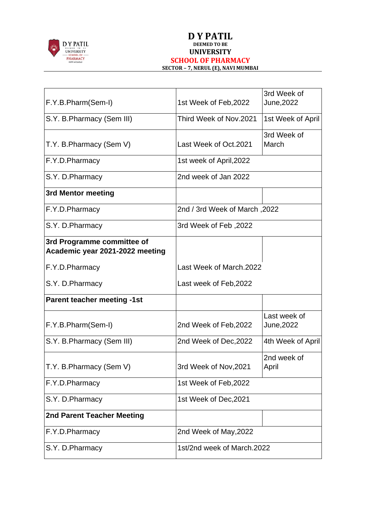

| F.Y.B.Pharm(Sem-I)                                            | 1st Week of Feb, 2022         | 3rd Week of<br>June, 2022  |
|---------------------------------------------------------------|-------------------------------|----------------------------|
| S.Y. B. Pharmacy (Sem III)                                    | Third Week of Nov.2021        | 1st Week of April          |
| T.Y. B. Pharmacy (Sem V)                                      | Last Week of Oct.2021         | 3rd Week of<br>March       |
| F.Y.D.Pharmacy                                                | 1st week of April, 2022       |                            |
| S.Y. D. Pharmacy                                              | 2nd week of Jan 2022          |                            |
| 3rd Mentor meeting                                            |                               |                            |
| F.Y.D.Pharmacy                                                | 2022, 2nd / 3rd Week of March |                            |
| S.Y. D.Pharmacy                                               | 3rd Week of Feb, 2022         |                            |
| 3rd Programme committee of<br>Academic year 2021-2022 meeting |                               |                            |
| F.Y.D.Pharmacy                                                | Last Week of March.2022       |                            |
| S.Y. D. Pharmacy                                              | Last week of Feb, 2022        |                            |
| <b>Parent teacher meeting -1st</b>                            |                               |                            |
| F.Y.B.Pharm(Sem-I)                                            | 2nd Week of Feb, 2022         | Last week of<br>June, 2022 |
| S.Y. B. Pharmacy (Sem III)                                    | 2nd Week of Dec, 2022         | 4th Week of April          |
| T.Y. B. Pharmacy (Sem V)                                      | 3rd Week of Nov, 2021         | 2nd week of<br>April       |
| F.Y.D.Pharmacy                                                | 1st Week of Feb, 2022         |                            |
| S.Y. D.Pharmacy                                               | 1st Week of Dec, 2021         |                            |
| <b>2nd Parent Teacher Meeting</b>                             |                               |                            |
| F.Y.D.Pharmacy                                                | 2nd Week of May, 2022         |                            |
| S.Y. D.Pharmacy                                               | 1st/2nd week of March.2022    |                            |